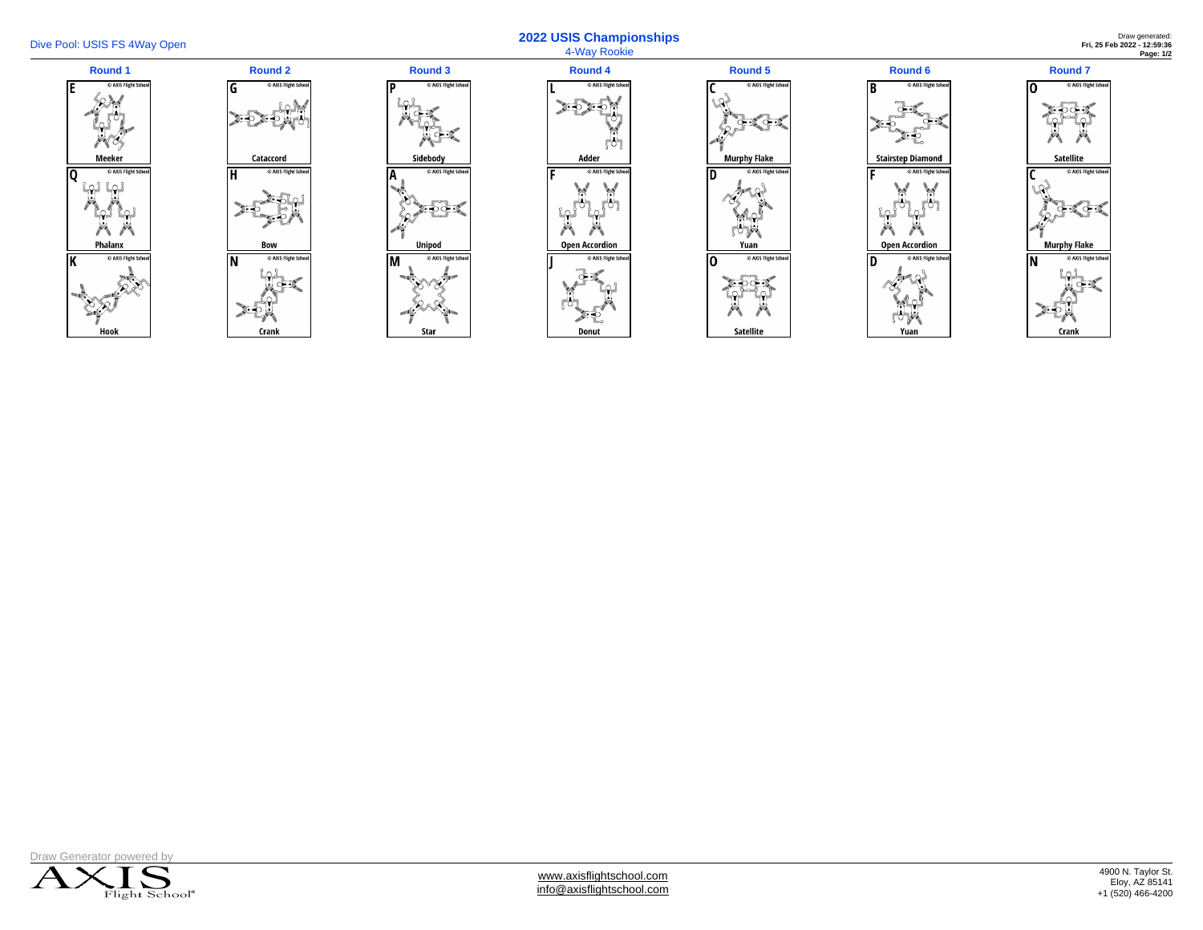

## Dive Pool: USIS FS 4Way Open **2022 USIS Championships**  4-Way Rookie

Draw generated: **Fri, 25 Feb 2022 - 12:59:36 Page: 1/2**





Гp

 $\overline{A}$ 

| <b>Round 4</b>                |  |
|-------------------------------|--|
| C AXIS Flight School<br>Ľ     |  |
|                               |  |
| Adder                         |  |
| C AXIS Flight School<br>F     |  |
|                               |  |
| <b>Open Accordion</b>         |  |
| C AXIS Flight School<br>Donut |  |
|                               |  |

| <b>Round 5</b> |                                   |  |  |  |
|----------------|-----------------------------------|--|--|--|
|                | C AXIS Flight School<br>٢         |  |  |  |
|                | <b>Murphy Flake</b>               |  |  |  |
|                | C AXIS Flight School<br>D<br>Yuan |  |  |  |
|                | C AXIS Flight School<br>Ō         |  |  |  |
|                |                                   |  |  |  |
|                | <b>Satellite</b>                  |  |  |  |







[www.axisflightschool.com](https://axisflightschool.com) [info@axisflightschool.com](mailto:info@axisflightschool.com)